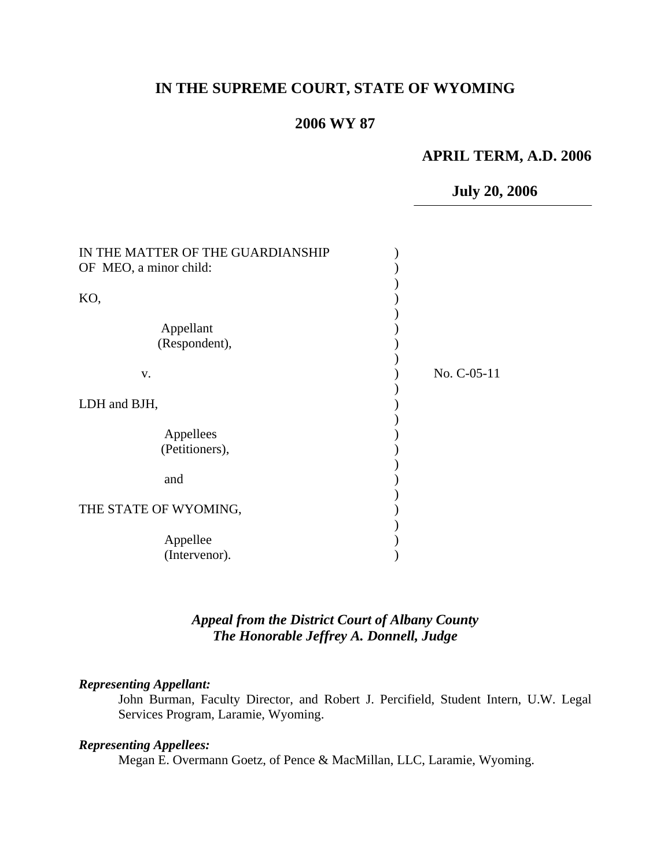# **IN THE SUPREME COURT, STATE OF WYOMING**

#### **2006 WY 87**

## **APRIL TERM, A.D. 2006**

 **July 20, 2006**

| IN THE MATTER OF THE GUARDIANSHIP |             |
|-----------------------------------|-------------|
| OF MEO, a minor child:            |             |
|                                   |             |
| KO,                               |             |
|                                   |             |
| Appellant                         |             |
| (Respondent),                     |             |
|                                   |             |
| v.                                | No. C-05-11 |
|                                   |             |
| LDH and BJH,                      |             |
|                                   |             |
| Appellees                         |             |
| (Petitioners),                    |             |
|                                   |             |
| and                               |             |
|                                   |             |
| THE STATE OF WYOMING,             |             |
|                                   |             |
| Appellee                          |             |
| (Intervenor).                     |             |
|                                   |             |

## *Appeal from the District Court of Albany County The Honorable Jeffrey A. Donnell, Judge*

#### *Representing Appellant:*

John Burman, Faculty Director, and Robert J. Percifield, Student Intern, U.W. Legal Services Program, Laramie, Wyoming.

#### *Representing Appellees:*

Megan E. Overmann Goetz, of Pence & MacMillan, LLC, Laramie, Wyoming.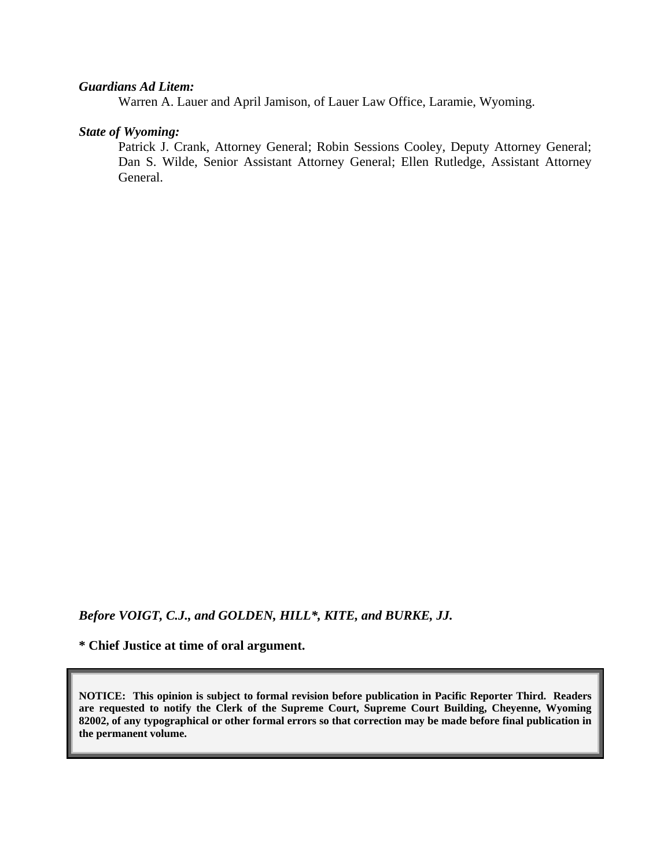#### *Guardians Ad Litem:*

Warren A. Lauer and April Jamison, of Lauer Law Office, Laramie, Wyoming.

#### *State of Wyoming:*

Patrick J. Crank, Attorney General; Robin Sessions Cooley, Deputy Attorney General; Dan S. Wilde, Senior Assistant Attorney General; Ellen Rutledge, Assistant Attorney General.

*Before VOIGT, C.J., and GOLDEN, HILL\*, KITE, and BURKE, JJ.* 

**\* Chief Justice at time of oral argument.** 

**NOTICE: This opinion is subject to formal revision before publication in Pacific Reporter Third. Readers are requested to notify the Clerk of the Supreme Court, Supreme Court Building, Cheyenne, Wyoming 82002, of any typographical or other formal errors so that correction may be made before final publication in the permanent volume.**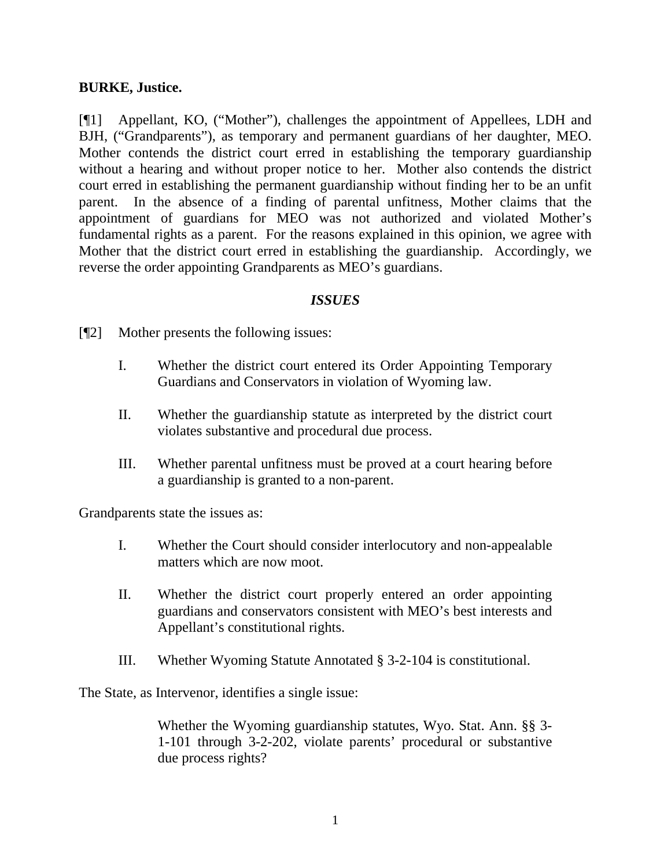#### **BURKE, Justice.**

[¶1] Appellant, KO, ("Mother"), challenges the appointment of Appellees, LDH and BJH, ("Grandparents"), as temporary and permanent guardians of her daughter, MEO. Mother contends the district court erred in establishing the temporary guardianship without a hearing and without proper notice to her. Mother also contends the district court erred in establishing the permanent guardianship without finding her to be an unfit parent. In the absence of a finding of parental unfitness, Mother claims that the appointment of guardians for MEO was not authorized and violated Mother's fundamental rights as a parent. For the reasons explained in this opinion, we agree with Mother that the district court erred in establishing the guardianship. Accordingly, we reverse the order appointing Grandparents as MEO's guardians.

#### *ISSUES*

[¶2] Mother presents the following issues:

- I. Whether the district court entered its Order Appointing Temporary Guardians and Conservators in violation of Wyoming law.
- II. Whether the guardianship statute as interpreted by the district court violates substantive and procedural due process.
- III. Whether parental unfitness must be proved at a court hearing before a guardianship is granted to a non-parent.

Grandparents state the issues as:

- I. Whether the Court should consider interlocutory and non-appealable matters which are now moot.
- II. Whether the district court properly entered an order appointing guardians and conservators consistent with MEO's best interests and Appellant's constitutional rights.
- III. Whether Wyoming Statute Annotated § 3-2-104 is constitutional.

The State, as Intervenor, identifies a single issue:

Whether the Wyoming guardianship statutes, Wyo. Stat. Ann. §§ 3- 1-101 through 3-2-202, violate parents' procedural or substantive due process rights?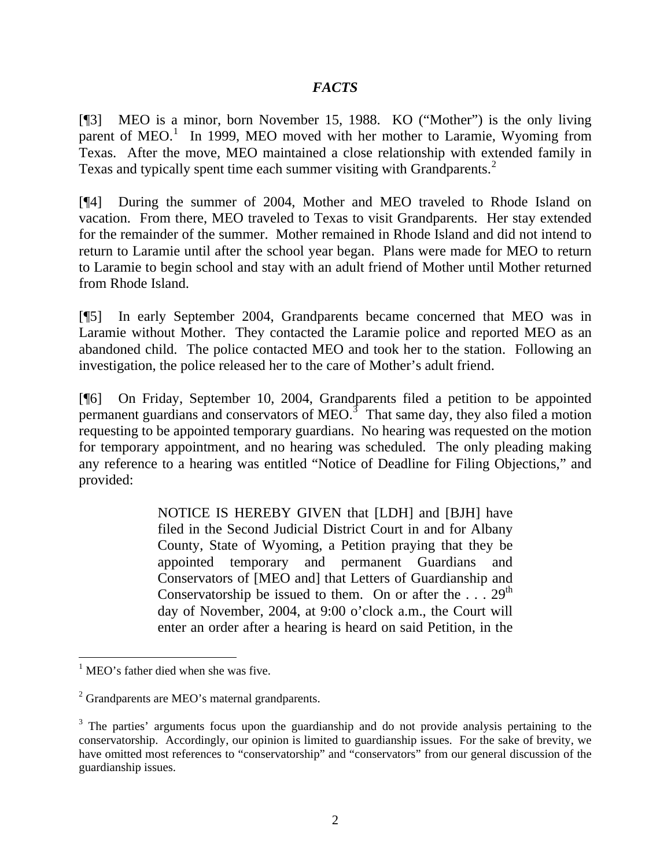## *FACTS*

[¶3] MEO is a minor, born November 15, 1988. KO ("Mother") is the only living parent of MEO.<sup>[1](#page-3-0)</sup> In 1999, MEO moved with her mother to Laramie, Wyoming from Texas. After the move, MEO maintained a close relationship with extended family in Texas and typically spent time each summer visiting with Grandparents.<sup>[2](#page-3-1)</sup>

[¶4] During the summer of 2004, Mother and MEO traveled to Rhode Island on vacation. From there, MEO traveled to Texas to visit Grandparents. Her stay extended for the remainder of the summer. Mother remained in Rhode Island and did not intend to return to Laramie until after the school year began. Plans were made for MEO to return to Laramie to begin school and stay with an adult friend of Mother until Mother returned from Rhode Island.

[¶5] In early September 2004, Grandparents became concerned that MEO was in Laramie without Mother. They contacted the Laramie police and reported MEO as an abandoned child. The police contacted MEO and took her to the station. Following an investigation, the police released her to the care of Mother's adult friend.

[¶6] On Friday, September 10, 2004, Grandparents filed a petition to be appointed permanent guardians and conservators of MEO.<sup>[3](#page-3-2)</sup> That same day, they also filed a motion requesting to be appointed temporary guardians. No hearing was requested on the motion for temporary appointment, and no hearing was scheduled. The only pleading making any reference to a hearing was entitled "Notice of Deadline for Filing Objections," and provided:

> NOTICE IS HEREBY GIVEN that [LDH] and [BJH] have filed in the Second Judicial District Court in and for Albany County, State of Wyoming, a Petition praying that they be appointed temporary and permanent Guardians and Conservators of [MEO and] that Letters of Guardianship and Conservatorship be issued to them. On or after the  $\ldots$  29<sup>th</sup> day of November, 2004, at 9:00 o'clock a.m., the Court will enter an order after a hearing is heard on said Petition, in the

<span id="page-3-0"></span><sup>&</sup>lt;sup>1</sup> MEO's father died when she was five.

<span id="page-3-1"></span> $2^2$  Grandparents are MEO's maternal grandparents.

<span id="page-3-2"></span><sup>&</sup>lt;sup>3</sup> The parties' arguments focus upon the guardianship and do not provide analysis pertaining to the conservatorship. Accordingly, our opinion is limited to guardianship issues. For the sake of brevity, we have omitted most references to "conservatorship" and "conservators" from our general discussion of the guardianship issues.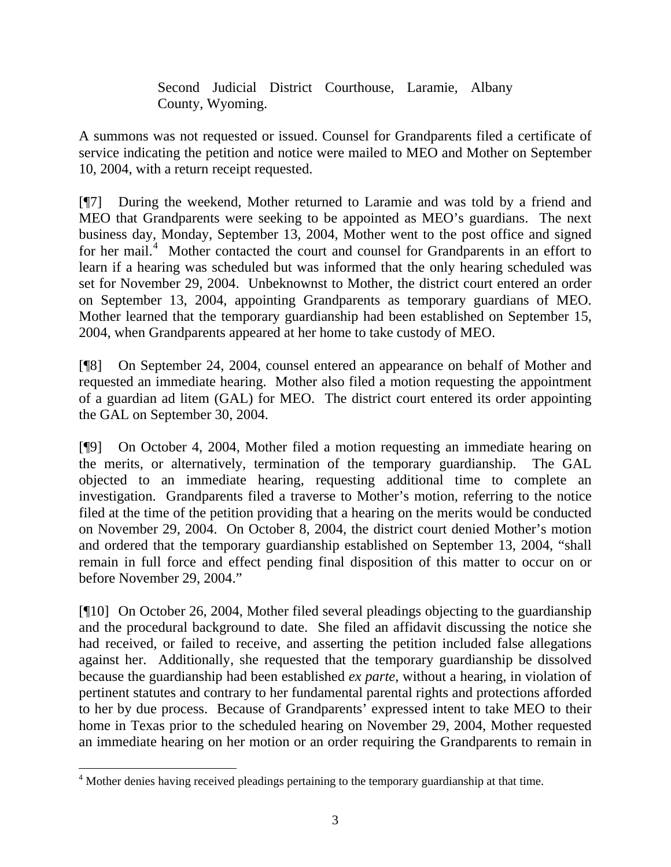Second Judicial District Courthouse, Laramie, Albany County, Wyoming.

A summons was not requested or issued. Counsel for Grandparents filed a certificate of service indicating the petition and notice were mailed to MEO and Mother on September 10, 2004, with a return receipt requested.

[¶7] During the weekend, Mother returned to Laramie and was told by a friend and MEO that Grandparents were seeking to be appointed as MEO's guardians. The next business day, Monday, September 13, 2004, Mother went to the post office and signed for her mail.<sup>[4](#page-4-0)</sup> Mother contacted the court and counsel for Grandparents in an effort to learn if a hearing was scheduled but was informed that the only hearing scheduled was set for November 29, 2004. Unbeknownst to Mother, the district court entered an order on September 13, 2004, appointing Grandparents as temporary guardians of MEO. Mother learned that the temporary guardianship had been established on September 15, 2004, when Grandparents appeared at her home to take custody of MEO.

[¶8] On September 24, 2004, counsel entered an appearance on behalf of Mother and requested an immediate hearing. Mother also filed a motion requesting the appointment of a guardian ad litem (GAL) for MEO. The district court entered its order appointing the GAL on September 30, 2004.

[¶9] On October 4, 2004, Mother filed a motion requesting an immediate hearing on the merits, or alternatively, termination of the temporary guardianship. The GAL objected to an immediate hearing, requesting additional time to complete an investigation. Grandparents filed a traverse to Mother's motion, referring to the notice filed at the time of the petition providing that a hearing on the merits would be conducted on November 29, 2004. On October 8, 2004, the district court denied Mother's motion and ordered that the temporary guardianship established on September 13, 2004, "shall remain in full force and effect pending final disposition of this matter to occur on or before November 29, 2004."

[¶10] On October 26, 2004, Mother filed several pleadings objecting to the guardianship and the procedural background to date. She filed an affidavit discussing the notice she had received, or failed to receive, and asserting the petition included false allegations against her. Additionally, she requested that the temporary guardianship be dissolved because the guardianship had been established *ex parte*, without a hearing, in violation of pertinent statutes and contrary to her fundamental parental rights and protections afforded to her by due process. Because of Grandparents' expressed intent to take MEO to their home in Texas prior to the scheduled hearing on November 29, 2004, Mother requested an immediate hearing on her motion or an order requiring the Grandparents to remain in

<span id="page-4-0"></span><sup>&</sup>lt;sup>4</sup> Mother denies having received pleadings pertaining to the temporary guardianship at that time.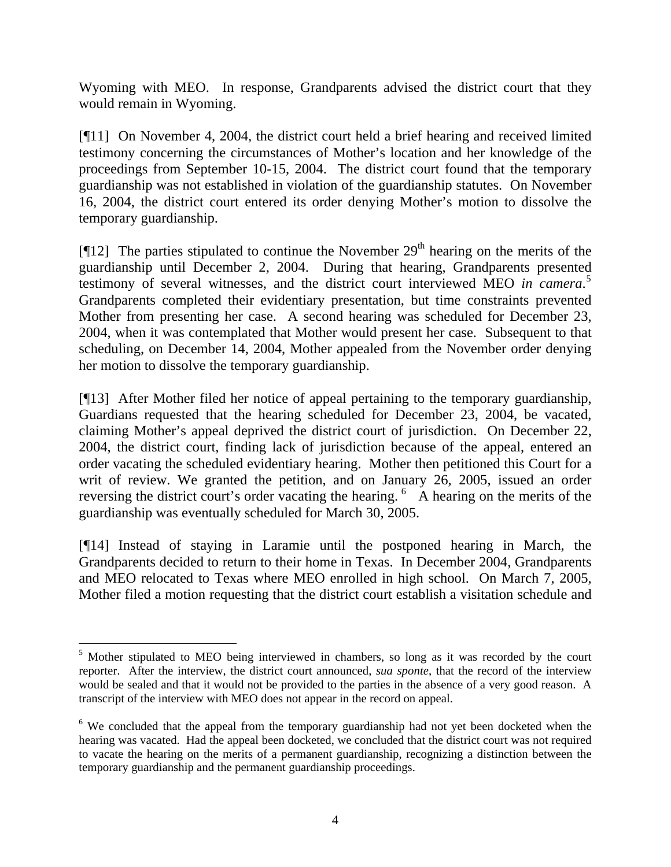Wyoming with MEO. In response, Grandparents advised the district court that they would remain in Wyoming.

[¶11] On November 4, 2004, the district court held a brief hearing and received limited testimony concerning the circumstances of Mother's location and her knowledge of the proceedings from September 10-15, 2004. The district court found that the temporary guardianship was not established in violation of the guardianship statutes. On November 16, 2004, the district court entered its order denying Mother's motion to dissolve the temporary guardianship.

[ $[$ [12] The parties stipulated to continue the November 29<sup>th</sup> hearing on the merits of the guardianship until December 2, 2004. During that hearing, Grandparents presented testimony of several witnesses, and the district court interviewed MEO *in camera*. [5](#page-5-0) Grandparents completed their evidentiary presentation, but time constraints prevented Mother from presenting her case. A second hearing was scheduled for December 23, 2004, when it was contemplated that Mother would present her case. Subsequent to that scheduling, on December 14, 2004, Mother appealed from the November order denying her motion to dissolve the temporary guardianship.

[¶13] After Mother filed her notice of appeal pertaining to the temporary guardianship, Guardians requested that the hearing scheduled for December 23, 2004, be vacated, claiming Mother's appeal deprived the district court of jurisdiction. On December 22, 2004, the district court, finding lack of jurisdiction because of the appeal, entered an order vacating the scheduled evidentiary hearing. Mother then petitioned this Court for a writ of review. We granted the petition, and on January 26, 2005, issued an order reversing the district court's order vacating the hearing. <sup>[6](#page-5-1)</sup> A hearing on the merits of the guardianship was eventually scheduled for March 30, 2005.

[¶14] Instead of staying in Laramie until the postponed hearing in March, the Grandparents decided to return to their home in Texas. In December 2004, Grandparents and MEO relocated to Texas where MEO enrolled in high school. On March 7, 2005, Mother filed a motion requesting that the district court establish a visitation schedule and

<span id="page-5-0"></span><sup>&</sup>lt;sup>5</sup> Mother stipulated to MEO being interviewed in chambers, so long as it was recorded by the court reporter. After the interview, the district court announced, *sua sponte*, that the record of the interview would be sealed and that it would not be provided to the parties in the absence of a very good reason. A transcript of the interview with MEO does not appear in the record on appeal.

<span id="page-5-1"></span><sup>&</sup>lt;sup>6</sup> We concluded that the appeal from the temporary guardianship had not yet been docketed when the hearing was vacated. Had the appeal been docketed, we concluded that the district court was not required to vacate the hearing on the merits of a permanent guardianship, recognizing a distinction between the temporary guardianship and the permanent guardianship proceedings.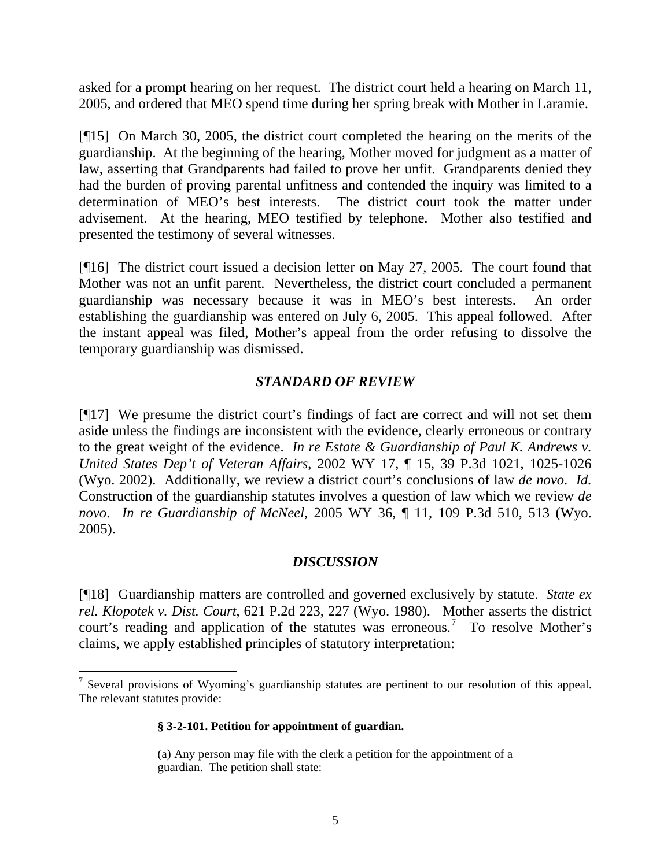asked for a prompt hearing on her request. The district court held a hearing on March 11, 2005, and ordered that MEO spend time during her spring break with Mother in Laramie.

[¶15] On March 30, 2005, the district court completed the hearing on the merits of the guardianship. At the beginning of the hearing, Mother moved for judgment as a matter of law, asserting that Grandparents had failed to prove her unfit. Grandparents denied they had the burden of proving parental unfitness and contended the inquiry was limited to a determination of MEO's best interests. The district court took the matter under advisement. At the hearing, MEO testified by telephone. Mother also testified and presented the testimony of several witnesses.

[¶16] The district court issued a decision letter on May 27, 2005. The court found that Mother was not an unfit parent. Nevertheless, the district court concluded a permanent guardianship was necessary because it was in MEO's best interests. An order establishing the guardianship was entered on July 6, 2005. This appeal followed. After the instant appeal was filed, Mother's appeal from the order refusing to dissolve the temporary guardianship was dismissed.

#### *STANDARD OF REVIEW*

[¶17] We presume the district court's findings of fact are correct and will not set them aside unless the findings are inconsistent with the evidence, clearly erroneous or contrary to the great weight of the evidence. *In re Estate & Guardianship of Paul K. Andrews v. United States Dep't of Veteran Affairs*, 2002 WY 17, ¶ 15, 39 P.3d 1021, 1025-1026 (Wyo. 2002). Additionally, we review a district court's conclusions of law *de novo*. *Id.* Construction of the guardianship statutes involves a question of law which we review *de novo*. *In re Guardianship of McNeel*, 2005 WY 36, ¶ 11, 109 P.3d 510, 513 (Wyo. 2005).

# *DISCUSSION*

[¶18] Guardianship matters are controlled and governed exclusively by statute. *State ex rel. Klopotek v. Dist. Court*, 621 P.2d 223, 227 (Wyo. 1980). Mother asserts the district court's reading and application of the statutes was erroneous.<sup>[7](#page-6-0)</sup> To resolve Mother's claims, we apply established principles of statutory interpretation:

#### **§ 3-2-101. Petition for appointment of guardian.**

<span id="page-6-0"></span><sup>&</sup>lt;sup>7</sup> Several provisions of Wyoming's guardianship statutes are pertinent to our resolution of this appeal. The relevant statutes provide:

<sup>(</sup>a) Any person may file with the clerk a petition for the appointment of a guardian. The petition shall state: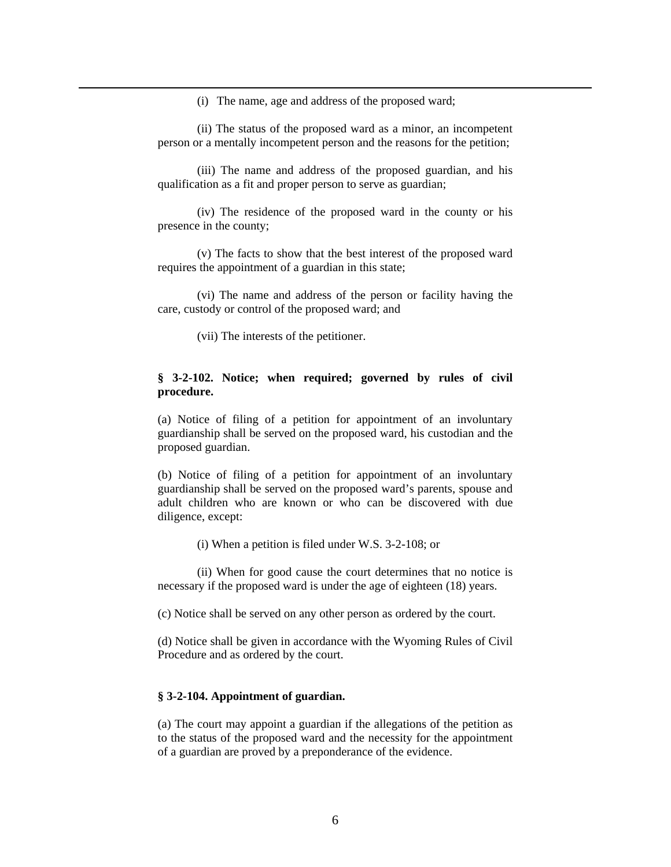(i) The name, age and address of the proposed ward;

 (ii) The status of the proposed ward as a minor, an incompetent person or a mentally incompetent person and the reasons for the petition;

 (iii) The name and address of the proposed guardian, and his qualification as a fit and proper person to serve as guardian;

 (iv) The residence of the proposed ward in the county or his presence in the county;

 (v) The facts to show that the best interest of the proposed ward requires the appointment of a guardian in this state;

 (vi) The name and address of the person or facility having the care, custody or control of the proposed ward; and

(vii) The interests of the petitioner.

 $\overline{a}$ 

#### **§ 3-2-102. Notice; when required; governed by rules of civil procedure.**

(a) Notice of filing of a petition for appointment of an involuntary guardianship shall be served on the proposed ward, his custodian and the proposed guardian.

(b) Notice of filing of a petition for appointment of an involuntary guardianship shall be served on the proposed ward's parents, spouse and adult children who are known or who can be discovered with due diligence, except:

(i) When a petition is filed under W.S. 3-2-108; or

(ii) When for good cause the court determines that no notice is necessary if the proposed ward is under the age of eighteen (18) years.

(c) Notice shall be served on any other person as ordered by the court.

(d) Notice shall be given in accordance with the Wyoming Rules of Civil Procedure and as ordered by the court.

#### **§ 3-2-104. Appointment of guardian.**

(a) The court may appoint a guardian if the allegations of the petition as to the status of the proposed ward and the necessity for the appointment of a guardian are proved by a preponderance of the evidence.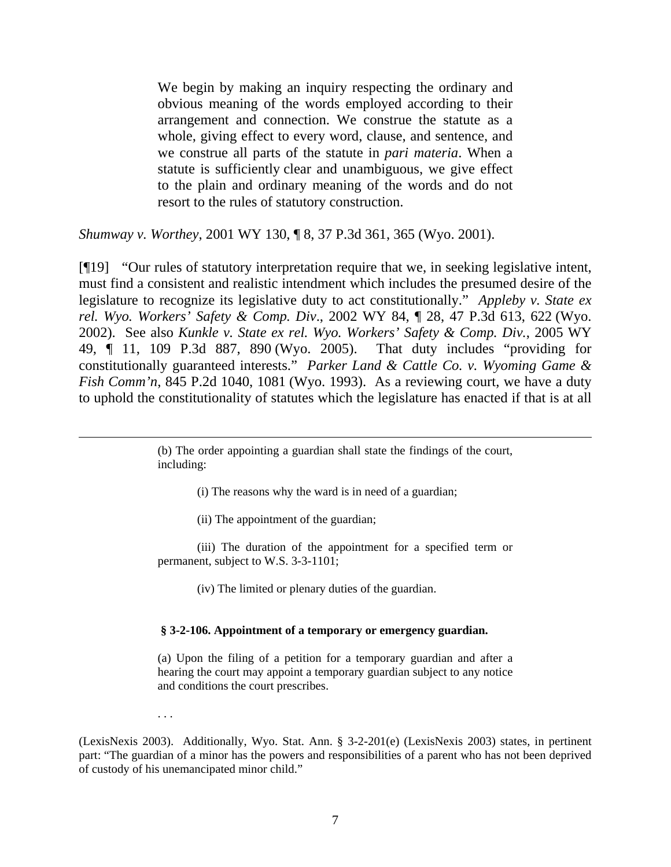We begin by making an inquiry respecting the ordinary and obvious meaning of the words employed according to their arrangement and connection. We construe the statute as a whole, giving effect to every word, clause, and sentence, and we construe all parts of the statute in *pari materia*. When a statute is sufficiently clear and unambiguous, we give effect to the plain and ordinary meaning of the words and do not resort to the rules of statutory construction.

*Shumway v. Worthey*, 2001 WY 130, ¶ 8, 37 P.3d 361, 365 (Wyo. 2001).

[¶19] "Our rules of statutory interpretation require that we, in seeking legislative intent, must find a consistent and realistic intendment which includes the presumed desire of the legislature to recognize its legislative duty to act constitutionally." *Appleby v. State ex rel. Wyo. Workers' Safety & Comp. Div*., 2002 WY 84, ¶ 28, 47 P.3d 613, 622 (Wyo. 2002). See also *Kunkle v. State ex rel. Wyo. Workers' Safety & Comp. Div.*, 2005 WY 49, ¶ 11, 109 P.3d 887, 890 (Wyo. 2005). That duty includes "providing for constitutionally guaranteed interests." *Parker Land & Cattle Co. v. Wyoming Game & Fish Comm'n*, 845 P.2d 1040, 1081 (Wyo. 1993). As a reviewing court, we have a duty to uphold the constitutionality of statutes which the legislature has enacted if that is at all

> (b) The order appointing a guardian shall state the findings of the court, including:

> > (i) The reasons why the ward is in need of a guardian;

(ii) The appointment of the guardian;

(iii) The duration of the appointment for a specified term or permanent, subject to W.S. 3-3-1101;

(iv) The limited or plenary duties of the guardian.

#### **§ 3-2-106. Appointment of a temporary or emergency guardian.**

(a) Upon the filing of a petition for a temporary guardian and after a hearing the court may appoint a temporary guardian subject to any notice and conditions the court prescribes.

. . .

 $\overline{a}$ 

(LexisNexis 2003). Additionally, Wyo. Stat. Ann. § 3-2-201(e) (LexisNexis 2003) states, in pertinent part: "The guardian of a minor has the powers and responsibilities of a parent who has not been deprived of custody of his unemancipated minor child."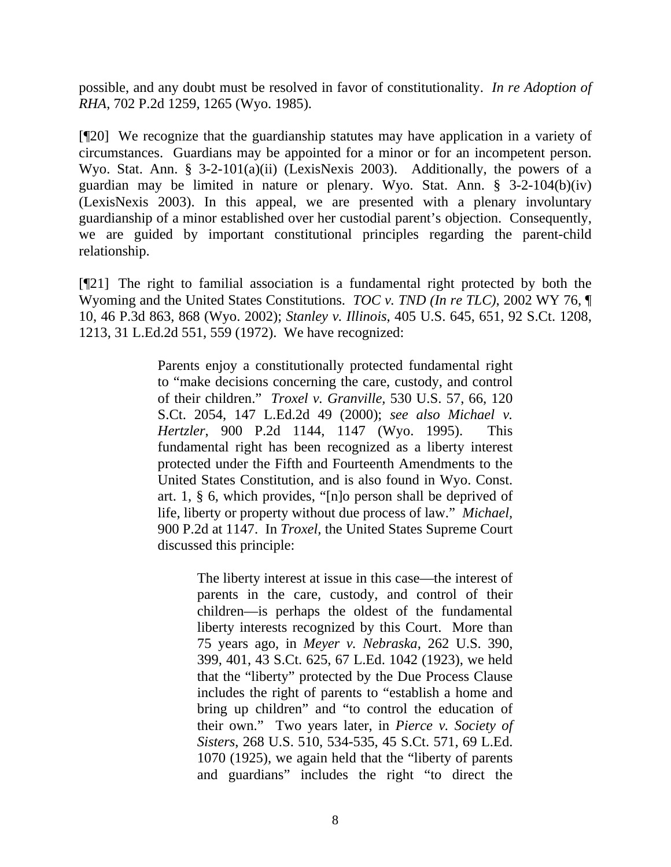possible, and any doubt must be resolved in favor of constitutionality. *In re Adoption of RHA*, 702 P.2d 1259, 1265 (Wyo. 1985).

[¶20] We recognize that the guardianship statutes may have application in a variety of circumstances. Guardians may be appointed for a minor or for an incompetent person. Wyo. Stat. Ann. § 3-2-101(a)(ii) (LexisNexis 2003). Additionally, the powers of a guardian may be limited in nature or plenary. Wyo. Stat. Ann. § 3-2-104(b)(iv) (LexisNexis 2003). In this appeal, we are presented with a plenary involuntary guardianship of a minor established over her custodial parent's objection. Consequently, we are guided by important constitutional principles regarding the parent-child relationship.

[¶21] The right to familial association is a fundamental right protected by both the Wyoming and the United States Constitutions. *TOC v. TND (In re TLC)*, 2002 WY 76, ¶ 10, 46 P.3d 863, 868 (Wyo. 2002); *Stanley v. Illinois*, 405 U.S. 645, 651, 92 S.Ct. 1208, 1213, 31 L.Ed.2d 551, 559 (1972). We have recognized:

> Parents enjoy a constitutionally protected fundamental right to "make decisions concerning the care, custody, and control of their children." *Troxel v. Granville,* 530 U.S. 57, 66, 120 S.Ct. 2054, 147 L.Ed.2d 49 (2000); *see also Michael v. Hertzler*, 900 P.2d 1144, 1147 (Wyo. 1995). This fundamental right has been recognized as a liberty interest protected under the Fifth and Fourteenth Amendments to the United States Constitution, and is also found in Wyo. Const. art. 1, § 6, which provides, "[n]o person shall be deprived of life, liberty or property without due process of law." *Michael,*  900 P.2d at 1147. In *Troxel,* the United States Supreme Court discussed this principle:

> > The liberty interest at issue in this case—the interest of parents in the care, custody, and control of their children—is perhaps the oldest of the fundamental liberty interests recognized by this Court. More than 75 years ago, in *Meyer v. Nebraska*, 262 U.S. 390, 399, 401, 43 S.Ct. 625, 67 L.Ed. 1042 (1923), we held that the "liberty" protected by the Due Process Clause includes the right of parents to "establish a home and bring up children" and "to control the education of their own." Two years later, in *Pierce v. Society of Sisters*, 268 U.S. 510, 534-535, 45 S.Ct. 571, 69 L.Ed. 1070 (1925), we again held that the "liberty of parents and guardians" includes the right "to direct the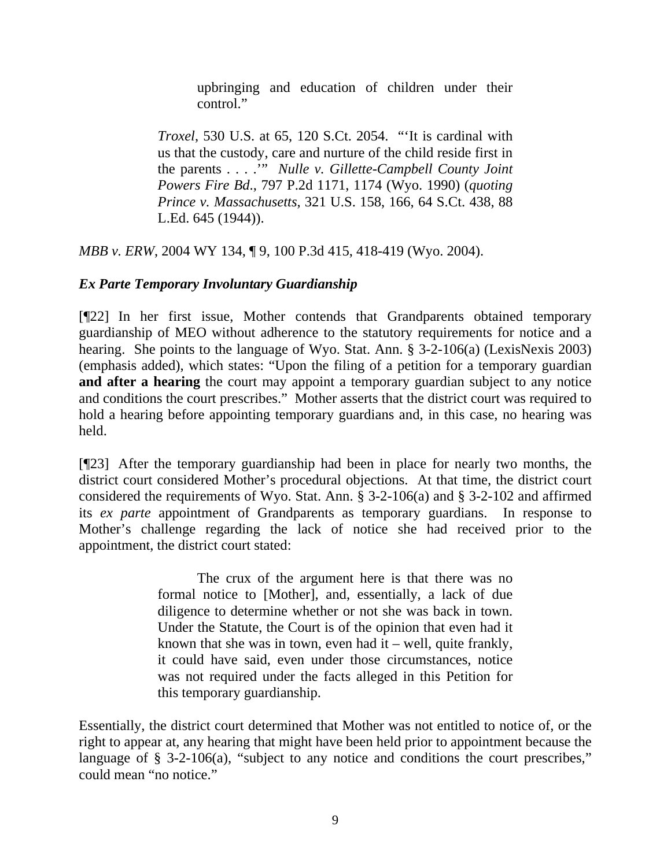upbringing and education of children under their control."

*Troxel*, 530 U.S. at 65, 120 S.Ct. 2054. "'It is cardinal with us that the custody, care and nurture of the child reside first in the parents . . . .'" *Nulle v. Gillette-Campbell County Joint Powers Fire Bd*., 797 P.2d 1171, 1174 (Wyo. 1990) (*quoting Prince v. Massachusetts*, 321 U.S. 158, 166, 64 S.Ct. 438, 88 L.Ed. 645 (1944)).

*MBB v. ERW*, 2004 WY 134, ¶ 9, 100 P.3d 415, 418-419 (Wyo. 2004).

# *Ex Parte Temporary Involuntary Guardianship*

[¶22] In her first issue, Mother contends that Grandparents obtained temporary guardianship of MEO without adherence to the statutory requirements for notice and a hearing. She points to the language of Wyo. Stat. Ann. § 3-2-106(a) (LexisNexis 2003) (emphasis added), which states: "Upon the filing of a petition for a temporary guardian **and after a hearing** the court may appoint a temporary guardian subject to any notice and conditions the court prescribes." Mother asserts that the district court was required to hold a hearing before appointing temporary guardians and, in this case, no hearing was held.

[¶23] After the temporary guardianship had been in place for nearly two months, the district court considered Mother's procedural objections. At that time, the district court considered the requirements of Wyo. Stat. Ann. § 3-2-106(a) and § 3-2-102 and affirmed its *ex parte* appointment of Grandparents as temporary guardians. In response to Mother's challenge regarding the lack of notice she had received prior to the appointment, the district court stated:

> The crux of the argument here is that there was no formal notice to [Mother], and, essentially, a lack of due diligence to determine whether or not she was back in town. Under the Statute, the Court is of the opinion that even had it known that she was in town, even had it – well, quite frankly, it could have said, even under those circumstances, notice was not required under the facts alleged in this Petition for this temporary guardianship.

Essentially, the district court determined that Mother was not entitled to notice of, or the right to appear at, any hearing that might have been held prior to appointment because the language of  $\S$  3-2-106(a), "subject to any notice and conditions the court prescribes," could mean "no notice."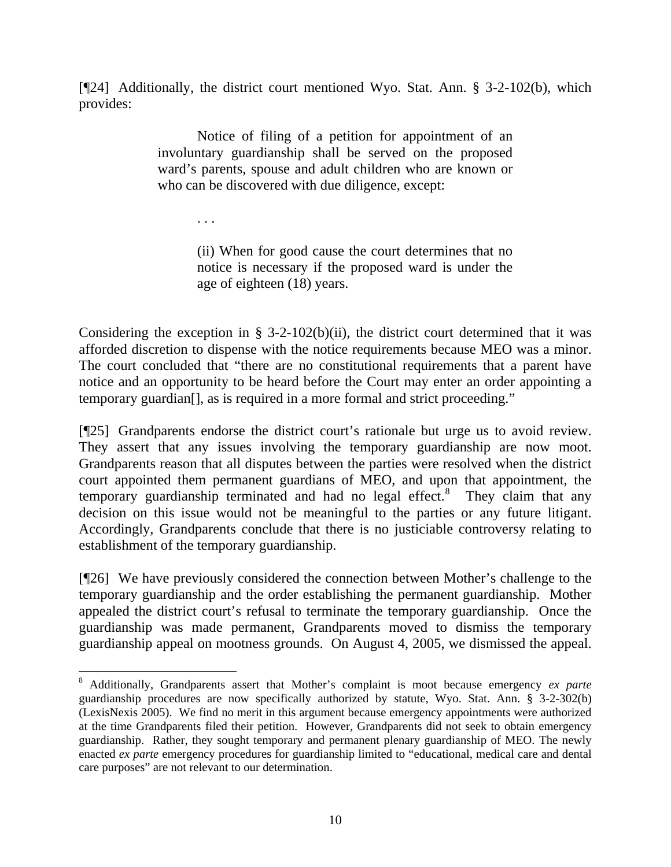[¶24] Additionally, the district court mentioned Wyo. Stat. Ann. § 3-2-102(b), which provides:

> Notice of filing of a petition for appointment of an involuntary guardianship shall be served on the proposed ward's parents, spouse and adult children who are known or who can be discovered with due diligence, except:

> > . . .

 $\overline{a}$ 

(ii) When for good cause the court determines that no notice is necessary if the proposed ward is under the age of eighteen (18) years.

Considering the exception in  $\S$  3-2-102(b)(ii), the district court determined that it was afforded discretion to dispense with the notice requirements because MEO was a minor. The court concluded that "there are no constitutional requirements that a parent have notice and an opportunity to be heard before the Court may enter an order appointing a temporary guardian[], as is required in a more formal and strict proceeding."

[¶25] Grandparents endorse the district court's rationale but urge us to avoid review. They assert that any issues involving the temporary guardianship are now moot. Grandparents reason that all disputes between the parties were resolved when the district court appointed them permanent guardians of MEO, and upon that appointment, the temporary guardianship terminated and had no legal effect. $8$  They claim that any decision on this issue would not be meaningful to the parties or any future litigant. Accordingly, Grandparents conclude that there is no justiciable controversy relating to establishment of the temporary guardianship.

[¶26] We have previously considered the connection between Mother's challenge to the temporary guardianship and the order establishing the permanent guardianship. Mother appealed the district court's refusal to terminate the temporary guardianship. Once the guardianship was made permanent, Grandparents moved to dismiss the temporary guardianship appeal on mootness grounds. On August 4, 2005, we dismissed the appeal.

<span id="page-11-0"></span><sup>8</sup> Additionally, Grandparents assert that Mother's complaint is moot because emergency *ex parte* guardianship procedures are now specifically authorized by statute, Wyo. Stat. Ann. § 3-2-302(b) (LexisNexis 2005). We find no merit in this argument because emergency appointments were authorized at the time Grandparents filed their petition. However, Grandparents did not seek to obtain emergency guardianship. Rather, they sought temporary and permanent plenary guardianship of MEO. The newly enacted *ex parte* emergency procedures for guardianship limited to "educational, medical care and dental care purposes" are not relevant to our determination.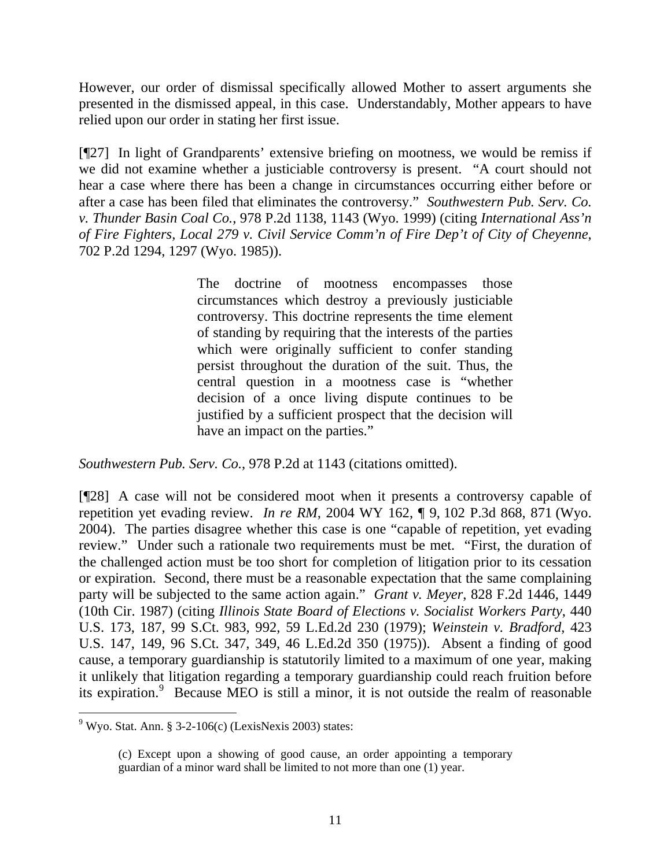However, our order of dismissal specifically allowed Mother to assert arguments she presented in the dismissed appeal, in this case. Understandably, Mother appears to have relied upon our order in stating her first issue.

[¶27] In light of Grandparents' extensive briefing on mootness, we would be remiss if we did not examine whether a justiciable controversy is present. "A court should not hear a case where there has been a change in circumstances occurring either before or after a case has been filed that eliminates the controversy." *Southwestern Pub. Serv. Co. v. Thunder Basin Coal Co.*, 978 P.2d 1138, 1143 (Wyo. 1999) (citing *International Ass'n of Fire Fighters, Local 279 v. Civil Service Comm'n of Fire Dep't of City of Cheyenne*, 702 P.2d 1294, 1297 (Wyo. 1985)).

> The doctrine of mootness encompasses those circumstances which destroy a previously justiciable controversy. This doctrine represents the time element of standing by requiring that the interests of the parties which were originally sufficient to confer standing persist throughout the duration of the suit. Thus, the central question in a mootness case is "whether decision of a once living dispute continues to be justified by a sufficient prospect that the decision will have an impact on the parties."

*Southwestern Pub. Serv. Co.*, 978 P.2d at 1143 (citations omitted).

[¶28] A case will not be considered moot when it presents a controversy capable of repetition yet evading review. *In re RM*, 2004 WY 162, ¶ 9, 102 P.3d 868, 871 (Wyo. 2004). The parties disagree whether this case is one "capable of repetition, yet evading review." Under such a rationale two requirements must be met. "First, the duration of the challenged action must be too short for completion of litigation prior to its cessation or expiration. Second, there must be a reasonable expectation that the same complaining party will be subjected to the same action again." *Grant v. Meyer*, 828 F.2d 1446, 1449 (10th Cir. 1987) (citing *Illinois State Board of Elections v. Socialist Workers Party*, 440 U.S. 173, 187, 99 S.Ct. 983, 992, 59 L.Ed.2d 230 (1979); *Weinstein v. Bradford*, 423 U.S. 147, 149, 96 S.Ct. 347, 349, 46 L.Ed.2d 350 (1975)). Absent a finding of good cause, a temporary guardianship is statutorily limited to a maximum of one year, making it unlikely that litigation regarding a temporary guardianship could reach fruition before its expiration.<sup>[9](#page-12-0)</sup> Because MEO is still a minor, it is not outside the realm of reasonable

<span id="page-12-0"></span> $9$  Wyo. Stat. Ann. § 3-2-106(c) (LexisNexis 2003) states:

<sup>(</sup>c) Except upon a showing of good cause, an order appointing a temporary guardian of a minor ward shall be limited to not more than one (1) year.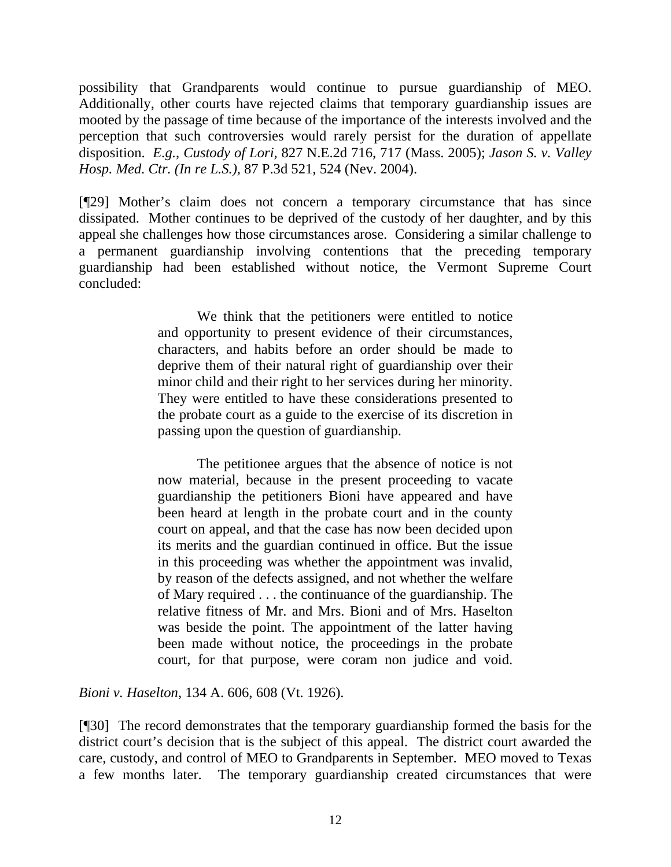possibility that Grandparents would continue to pursue guardianship of MEO. Additionally, other courts have rejected claims that temporary guardianship issues are mooted by the passage of time because of the importance of the interests involved and the perception that such controversies would rarely persist for the duration of appellate disposition. *E.g.*, *Custody of Lori*, 827 N.E.2d 716, 717 (Mass. 2005); *Jason S. v. Valley Hosp. Med. Ctr. (In re L.S.)*, 87 P.3d 521, 524 (Nev. 2004).

[¶29] Mother's claim does not concern a temporary circumstance that has since dissipated. Mother continues to be deprived of the custody of her daughter, and by this appeal she challenges how those circumstances arose. Considering a similar challenge to a permanent guardianship involving contentions that the preceding temporary guardianship had been established without notice, the Vermont Supreme Court concluded:

> We think that the petitioners were entitled to notice and opportunity to present evidence of their circumstances, characters, and habits before an order should be made to deprive them of their natural right of guardianship over their minor child and their right to her services during her minority. They were entitled to have these considerations presented to the probate court as a guide to the exercise of its discretion in passing upon the question of guardianship.

> The petitionee argues that the absence of notice is not now material, because in the present proceeding to vacate guardianship the petitioners Bioni have appeared and have been heard at length in the probate court and in the county court on appeal, and that the case has now been decided upon its merits and the guardian continued in office. But the issue in this proceeding was whether the appointment was invalid, by reason of the defects assigned, and not whether the welfare of Mary required . . . the continuance of the guardianship. The relative fitness of Mr. and Mrs. Bioni and of Mrs. Haselton was beside the point. The appointment of the latter having been made without notice, the proceedings in the probate court, for that purpose, were coram non judice and void.

*Bioni v. Haselton*, 134 A. 606, 608 (Vt. 1926).

[¶30] The record demonstrates that the temporary guardianship formed the basis for the district court's decision that is the subject of this appeal. The district court awarded the care, custody, and control of MEO to Grandparents in September. MEO moved to Texas a few months later. The temporary guardianship created circumstances that were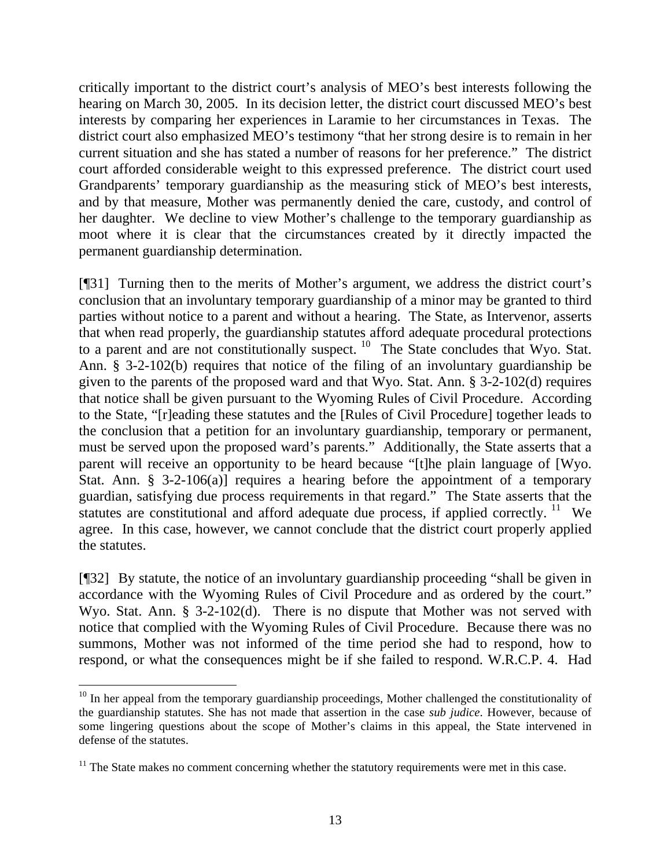critically important to the district court's analysis of MEO's best interests following the hearing on March 30, 2005. In its decision letter, the district court discussed MEO's best interests by comparing her experiences in Laramie to her circumstances in Texas. The district court also emphasized MEO's testimony "that her strong desire is to remain in her current situation and she has stated a number of reasons for her preference." The district court afforded considerable weight to this expressed preference. The district court used Grandparents' temporary guardianship as the measuring stick of MEO's best interests, and by that measure, Mother was permanently denied the care, custody, and control of her daughter. We decline to view Mother's challenge to the temporary guardianship as moot where it is clear that the circumstances created by it directly impacted the permanent guardianship determination.

[¶31] Turning then to the merits of Mother's argument, we address the district court's conclusion that an involuntary temporary guardianship of a minor may be granted to third parties without notice to a parent and without a hearing. The State, as Intervenor, asserts that when read properly, the guardianship statutes afford adequate procedural protections to a parent and are not constitutionally suspect. <sup>[10](#page-14-0)</sup> The State concludes that Wyo. Stat. Ann. § 3-2-102(b) requires that notice of the filing of an involuntary guardianship be given to the parents of the proposed ward and that Wyo. Stat. Ann. § 3-2-102(d) requires that notice shall be given pursuant to the Wyoming Rules of Civil Procedure. According to the State, "[r]eading these statutes and the [Rules of Civil Procedure] together leads to the conclusion that a petition for an involuntary guardianship, temporary or permanent, must be served upon the proposed ward's parents." Additionally, the State asserts that a parent will receive an opportunity to be heard because "[t]he plain language of [Wyo. Stat. Ann. § 3-2-106(a)] requires a hearing before the appointment of a temporary guardian, satisfying due process requirements in that regard." The State asserts that the statutes are constitutional and afford adequate due process, if applied correctly.  $11$  We agree. In this case, however, we cannot conclude that the district court properly applied the statutes.

[¶32] By statute, the notice of an involuntary guardianship proceeding "shall be given in accordance with the Wyoming Rules of Civil Procedure and as ordered by the court." Wyo. Stat. Ann. § 3-2-102(d). There is no dispute that Mother was not served with notice that complied with the Wyoming Rules of Civil Procedure. Because there was no summons, Mother was not informed of the time period she had to respond, how to respond, or what the consequences might be if she failed to respond. W.R.C.P. 4. Had

<span id="page-14-0"></span><sup>&</sup>lt;sup>10</sup> In her appeal from the temporary guardianship proceedings, Mother challenged the constitutionality of the guardianship statutes. She has not made that assertion in the case *sub judice*. However, because of some lingering questions about the scope of Mother's claims in this appeal, the State intervened in defense of the statutes.

<span id="page-14-1"></span> $11$  The State makes no comment concerning whether the statutory requirements were met in this case.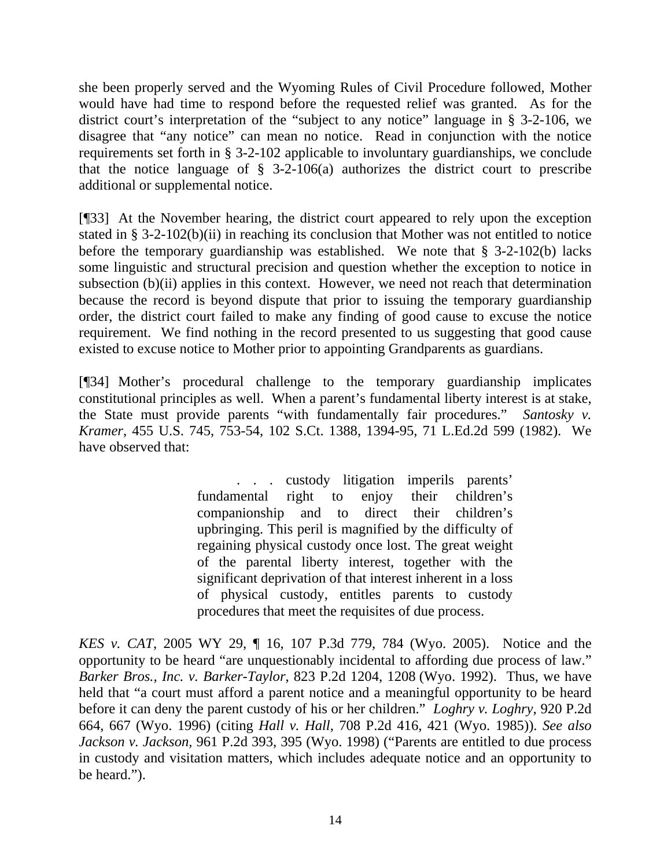she been properly served and the Wyoming Rules of Civil Procedure followed, Mother would have had time to respond before the requested relief was granted. As for the district court's interpretation of the "subject to any notice" language in § 3-2-106, we disagree that "any notice" can mean no notice. Read in conjunction with the notice requirements set forth in § 3-2-102 applicable to involuntary guardianships, we conclude that the notice language of  $\S$  3-2-106(a) authorizes the district court to prescribe additional or supplemental notice.

[¶33] At the November hearing, the district court appeared to rely upon the exception stated in § 3-2-102(b)(ii) in reaching its conclusion that Mother was not entitled to notice before the temporary guardianship was established. We note that § 3-2-102(b) lacks some linguistic and structural precision and question whether the exception to notice in subsection (b)(ii) applies in this context. However, we need not reach that determination because the record is beyond dispute that prior to issuing the temporary guardianship order, the district court failed to make any finding of good cause to excuse the notice requirement. We find nothing in the record presented to us suggesting that good cause existed to excuse notice to Mother prior to appointing Grandparents as guardians.

[¶34] Mother's procedural challenge to the temporary guardianship implicates constitutional principles as well. When a parent's fundamental liberty interest is at stake, the State must provide parents "with fundamentally fair procedures." *Santosky v. Kramer*, 455 U.S. 745, 753-54, 102 S.Ct. 1388, 1394-95, 71 L.Ed.2d 599 (1982). We have observed that:

> . . . custody litigation imperils parents' fundamental right to enjoy their children's companionship and to direct their children's upbringing. This peril is magnified by the difficulty of regaining physical custody once lost. The great weight of the parental liberty interest, together with the significant deprivation of that interest inherent in a loss of physical custody, entitles parents to custody procedures that meet the requisites of due process.

*KES v. CAT*, 2005 WY 29, ¶ 16, 107 P.3d 779, 784 (Wyo. 2005). Notice and the opportunity to be heard "are unquestionably incidental to affording due process of law." *Barker Bros., Inc. v. Barker-Taylor*, 823 P.2d 1204, 1208 (Wyo. 1992). Thus, we have held that "a court must afford a parent notice and a meaningful opportunity to be heard before it can deny the parent custody of his or her children." *Loghry v. Loghry*, 920 P.2d 664, 667 (Wyo. 1996) (citing *Hall v. Hall*, 708 P.2d 416, 421 (Wyo. 1985)). *See also Jackson v. Jackson*, 961 P.2d 393, 395 (Wyo. 1998) ("Parents are entitled to due process in custody and visitation matters, which includes adequate notice and an opportunity to be heard.").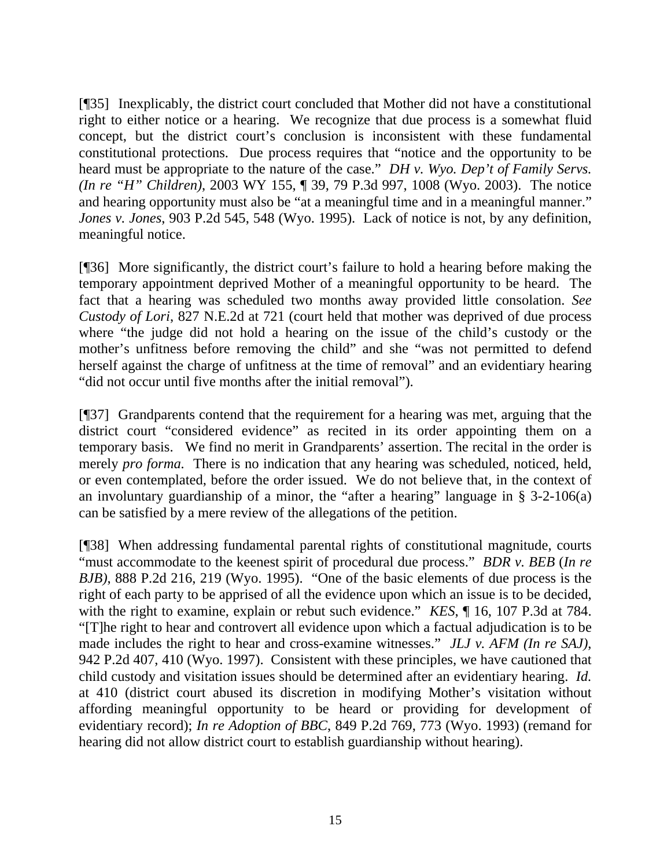[¶35] Inexplicably, the district court concluded that Mother did not have a constitutional right to either notice or a hearing. We recognize that due process is a somewhat fluid concept, but the district court's conclusion is inconsistent with these fundamental constitutional protections. Due process requires that "notice and the opportunity to be heard must be appropriate to the nature of the case." *DH v. Wyo. Dep't of Family Servs. (In re "H" Children)*, 2003 WY 155, ¶ 39, 79 P.3d 997, 1008 (Wyo. 2003). The notice and hearing opportunity must also be "at a meaningful time and in a meaningful manner." *Jones v. Jones*, 903 P.2d 545, 548 (Wyo. 1995). Lack of notice is not, by any definition, meaningful notice.

[¶36] More significantly, the district court's failure to hold a hearing before making the temporary appointment deprived Mother of a meaningful opportunity to be heard. The fact that a hearing was scheduled two months away provided little consolation. *See Custody of Lori*, 827 N.E.2d at 721 (court held that mother was deprived of due process where "the judge did not hold a hearing on the issue of the child's custody or the mother's unfitness before removing the child" and she "was not permitted to defend herself against the charge of unfitness at the time of removal" and an evidentiary hearing "did not occur until five months after the initial removal").

[¶37] Grandparents contend that the requirement for a hearing was met, arguing that the district court "considered evidence" as recited in its order appointing them on a temporary basis. We find no merit in Grandparents' assertion. The recital in the order is merely *pro forma*. There is no indication that any hearing was scheduled, noticed, held, or even contemplated, before the order issued. We do not believe that, in the context of an involuntary guardianship of a minor, the "after a hearing" language in  $\S$  3-2-106(a) can be satisfied by a mere review of the allegations of the petition.

[¶38] When addressing fundamental parental rights of constitutional magnitude, courts "must accommodate to the keenest spirit of procedural due process." *BDR v. BEB* (*In re BJB)*, 888 P.2d 216, 219 (Wyo. 1995). "One of the basic elements of due process is the right of each party to be apprised of all the evidence upon which an issue is to be decided, with the right to examine, explain or rebut such evidence." *KES*,  $\parallel$  16, 107 P.3d at 784. "[T]he right to hear and controvert all evidence upon which a factual adjudication is to be made includes the right to hear and cross-examine witnesses." *JLJ v. AFM (In re SAJ)*, 942 P.2d 407, 410 (Wyo. 1997). Consistent with these principles, we have cautioned that child custody and visitation issues should be determined after an evidentiary hearing. *Id.*  at 410 (district court abused its discretion in modifying Mother's visitation without affording meaningful opportunity to be heard or providing for development of evidentiary record); *In re Adoption of BBC*, 849 P.2d 769, 773 (Wyo. 1993) (remand for hearing did not allow district court to establish guardianship without hearing).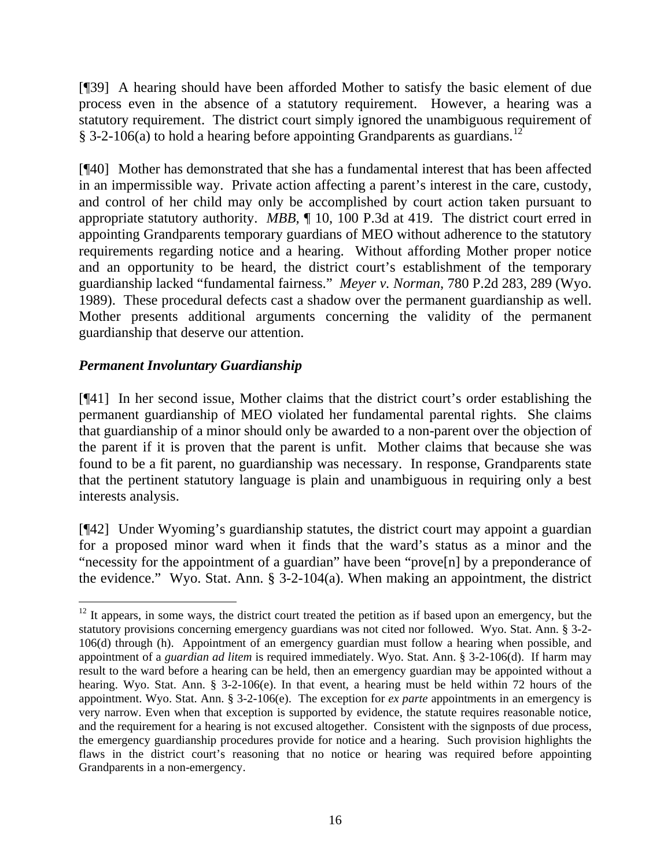[¶39] A hearing should have been afforded Mother to satisfy the basic element of due process even in the absence of a statutory requirement. However, a hearing was a statutory requirement. The district court simply ignored the unambiguous requirement of § 3-2-106(a) to hold a hearing before appointing Grandparents as guardians.<sup>[12](#page-17-0)</sup>

[¶40] Mother has demonstrated that she has a fundamental interest that has been affected in an impermissible way. Private action affecting a parent's interest in the care, custody, and control of her child may only be accomplished by court action taken pursuant to appropriate statutory authority. *MBB,* ¶ 10, 100 P.3d at 419. The district court erred in appointing Grandparents temporary guardians of MEO without adherence to the statutory requirements regarding notice and a hearing. Without affording Mother proper notice and an opportunity to be heard, the district court's establishment of the temporary guardianship lacked "fundamental fairness." *Meyer v. Norman*, 780 P.2d 283, 289 (Wyo. 1989). These procedural defects cast a shadow over the permanent guardianship as well. Mother presents additional arguments concerning the validity of the permanent guardianship that deserve our attention.

# *Permanent Involuntary Guardianship*

 $\overline{a}$ 

[¶41] In her second issue, Mother claims that the district court's order establishing the permanent guardianship of MEO violated her fundamental parental rights. She claims that guardianship of a minor should only be awarded to a non-parent over the objection of the parent if it is proven that the parent is unfit. Mother claims that because she was found to be a fit parent, no guardianship was necessary. In response, Grandparents state that the pertinent statutory language is plain and unambiguous in requiring only a best interests analysis.

[¶42] Under Wyoming's guardianship statutes, the district court may appoint a guardian for a proposed minor ward when it finds that the ward's status as a minor and the "necessity for the appointment of a guardian" have been "prove[n] by a preponderance of the evidence." Wyo. Stat. Ann. § 3-2-104(a). When making an appointment, the district

<span id="page-17-0"></span> $12$  It appears, in some ways, the district court treated the petition as if based upon an emergency, but the statutory provisions concerning emergency guardians was not cited nor followed. Wyo. Stat. Ann. § 3-2- 106(d) through (h). Appointment of an emergency guardian must follow a hearing when possible, and appointment of a *guardian ad litem* is required immediately. Wyo. Stat. Ann. § 3-2-106(d). If harm may result to the ward before a hearing can be held, then an emergency guardian may be appointed without a hearing. Wyo. Stat. Ann. § 3-2-106(e). In that event, a hearing must be held within 72 hours of the appointment. Wyo. Stat. Ann. § 3-2-106(e). The exception for *ex parte* appointments in an emergency is very narrow. Even when that exception is supported by evidence, the statute requires reasonable notice, and the requirement for a hearing is not excused altogether. Consistent with the signposts of due process, the emergency guardianship procedures provide for notice and a hearing. Such provision highlights the flaws in the district court's reasoning that no notice or hearing was required before appointing Grandparents in a non-emergency.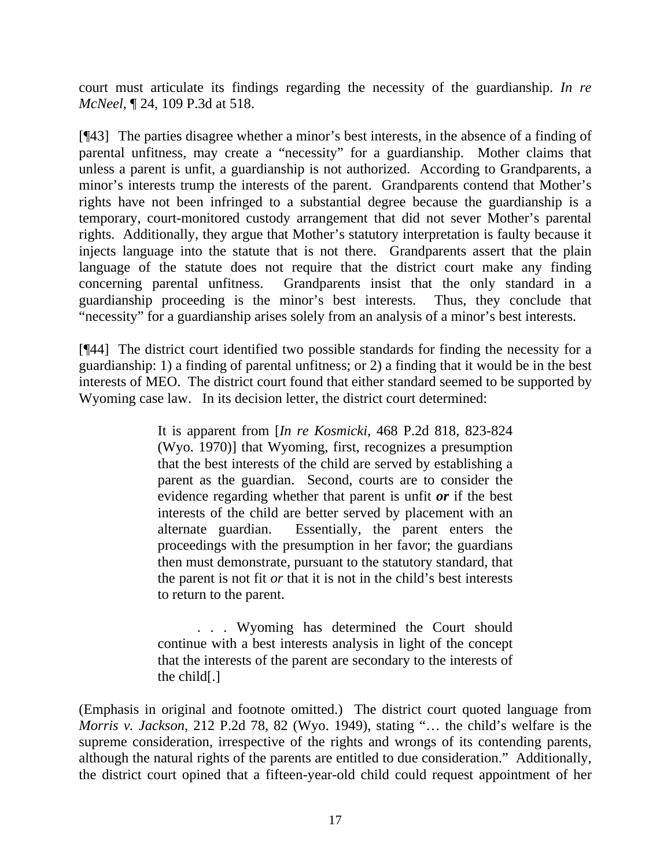court must articulate its findings regarding the necessity of the guardianship. *In re McNeel*, ¶ 24, 109 P.3d at 518.

[¶43] The parties disagree whether a minor's best interests, in the absence of a finding of parental unfitness, may create a "necessity" for a guardianship. Mother claims that unless a parent is unfit, a guardianship is not authorized. According to Grandparents, a minor's interests trump the interests of the parent. Grandparents contend that Mother's rights have not been infringed to a substantial degree because the guardianship is a temporary, court-monitored custody arrangement that did not sever Mother's parental rights. Additionally, they argue that Mother's statutory interpretation is faulty because it injects language into the statute that is not there. Grandparents assert that the plain language of the statute does not require that the district court make any finding concerning parental unfitness. Grandparents insist that the only standard in a guardianship proceeding is the minor's best interests. Thus, they conclude that "necessity" for a guardianship arises solely from an analysis of a minor's best interests.

[¶44] The district court identified two possible standards for finding the necessity for a guardianship: 1) a finding of parental unfitness; or 2) a finding that it would be in the best interests of MEO. The district court found that either standard seemed to be supported by Wyoming case law. In its decision letter, the district court determined:

> It is apparent from [*In re Kosmicki*, 468 P.2d 818, 823-824 (Wyo. 1970)] that Wyoming, first, recognizes a presumption that the best interests of the child are served by establishing a parent as the guardian. Second, courts are to consider the evidence regarding whether that parent is unfit *or* if the best interests of the child are better served by placement with an alternate guardian. Essentially, the parent enters the proceedings with the presumption in her favor; the guardians then must demonstrate, pursuant to the statutory standard, that the parent is not fit *or* that it is not in the child's best interests to return to the parent.

> . . . Wyoming has determined the Court should continue with a best interests analysis in light of the concept that the interests of the parent are secondary to the interests of the child[.]

(Emphasis in original and footnote omitted.) The district court quoted language from *Morris v. Jackson*, 212 P.2d 78, 82 (Wyo. 1949), stating "… the child's welfare is the supreme consideration, irrespective of the rights and wrongs of its contending parents, although the natural rights of the parents are entitled to due consideration." Additionally, the district court opined that a fifteen-year-old child could request appointment of her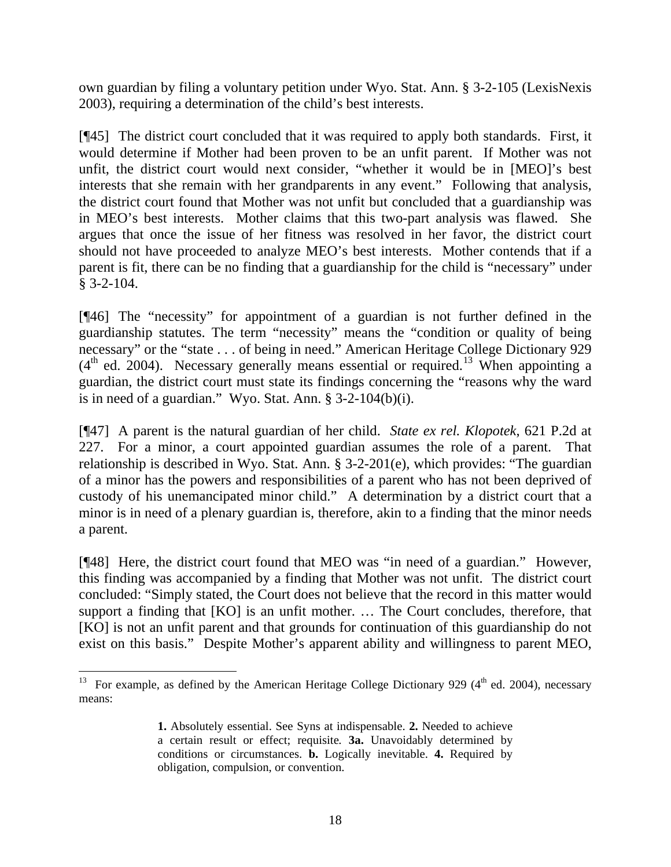own guardian by filing a voluntary petition under Wyo. Stat. Ann. § 3-2-105 (LexisNexis 2003), requiring a determination of the child's best interests.

[¶45] The district court concluded that it was required to apply both standards. First, it would determine if Mother had been proven to be an unfit parent. If Mother was not unfit, the district court would next consider, "whether it would be in [MEO]'s best interests that she remain with her grandparents in any event." Following that analysis, the district court found that Mother was not unfit but concluded that a guardianship was in MEO's best interests. Mother claims that this two-part analysis was flawed. She argues that once the issue of her fitness was resolved in her favor, the district court should not have proceeded to analyze MEO's best interests. Mother contends that if a parent is fit, there can be no finding that a guardianship for the child is "necessary" under § 3-2-104.

[¶46] The "necessity" for appointment of a guardian is not further defined in the guardianship statutes. The term "necessity" means the "condition or quality of being necessary" or the "state . . . of being in need." American Heritage College Dictionary 929  $(4<sup>th</sup>$  ed. 2004). Necessary generally means essential or required.<sup>[13](#page-19-0)</sup> When appointing a guardian, the district court must state its findings concerning the "reasons why the ward is in need of a guardian." Wyo. Stat. Ann. § 3-2-104(b)(i).

[¶47] A parent is the natural guardian of her child. *State ex rel. Klopotek*, 621 P.2d at 227. For a minor, a court appointed guardian assumes the role of a parent. That relationship is described in Wyo. Stat. Ann. § 3-2-201(e), which provides: "The guardian of a minor has the powers and responsibilities of a parent who has not been deprived of custody of his unemancipated minor child." A determination by a district court that a minor is in need of a plenary guardian is, therefore, akin to a finding that the minor needs a parent.

[¶48] Here, the district court found that MEO was "in need of a guardian." However, this finding was accompanied by a finding that Mother was not unfit. The district court concluded: "Simply stated, the Court does not believe that the record in this matter would support a finding that [KO] is an unfit mother. ... The Court concludes, therefore, that [KO] is not an unfit parent and that grounds for continuation of this guardianship do not exist on this basis." Despite Mother's apparent ability and willingness to parent MEO,

<span id="page-19-0"></span><sup>&</sup>lt;sup>13</sup> For example, as defined by the American Heritage College Dictionary 929 ( $4<sup>th</sup>$  ed. 2004), necessary means:

**<sup>1.</sup>** Absolutely essential. See Syns at indispensable. **2.** Needed to achieve a certain result or effect; requisite*.* **3a.** Unavoidably determined by conditions or circumstances. **b.** Logically inevitable. **4.** Required by obligation, compulsion, or convention.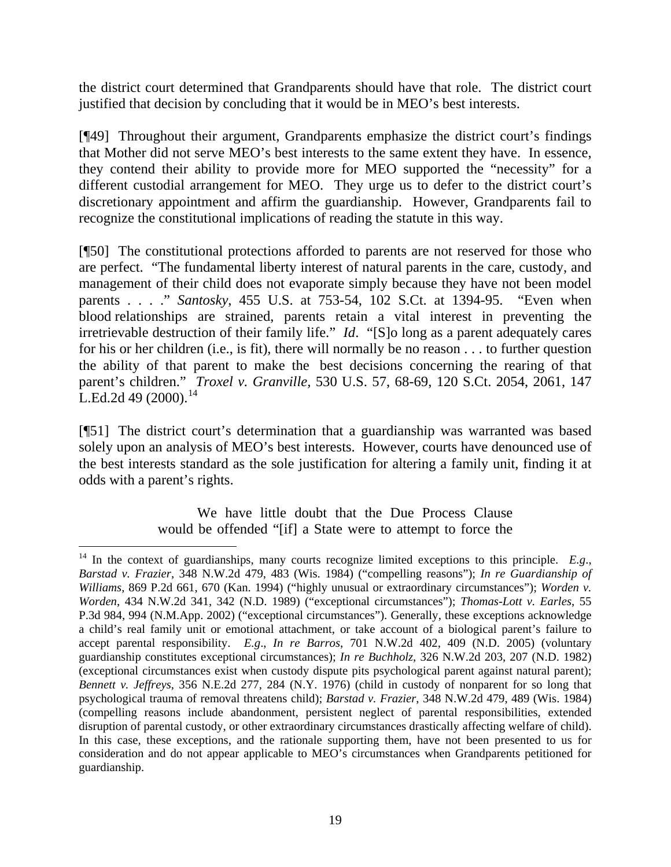the district court determined that Grandparents should have that role. The district court justified that decision by concluding that it would be in MEO's best interests.

[¶49] Throughout their argument, Grandparents emphasize the district court's findings that Mother did not serve MEO's best interests to the same extent they have. In essence, they contend their ability to provide more for MEO supported the "necessity" for a different custodial arrangement for MEO. They urge us to defer to the district court's discretionary appointment and affirm the guardianship. However, Grandparents fail to recognize the constitutional implications of reading the statute in this way.

[¶50] The constitutional protections afforded to parents are not reserved for those who are perfect. "The fundamental liberty interest of natural parents in the care, custody, and management of their child does not evaporate simply because they have not been model parents . . . ." *Santosky*, 455 U.S. at 753-54, 102 S.Ct. at 1394-95. "Even when blood relationships are strained, parents retain a vital interest in preventing the irretrievable destruction of their family life." *Id*. "[S]o long as a parent adequately cares for his or her children (i.e., is fit), there will normally be no reason . . . to further question the ability of that parent to make the best decisions concerning the rearing of that parent's children." *Troxel v. Granville,* 530 U.S. 57, 68-69, 120 S.Ct. 2054, 2061, 147 L.Ed.2d 49 (2000).<sup>[14](#page-20-0)</sup>

[¶51] The district court's determination that a guardianship was warranted was based solely upon an analysis of MEO's best interests. However, courts have denounced use of the best interests standard as the sole justification for altering a family unit, finding it at odds with a parent's rights.

> We have little doubt that the Due Process Clause would be offended "[if] a State were to attempt to force the

<span id="page-20-0"></span> $\overline{a}$  $^{14}$  In the context of guardianships, many courts recognize limited exceptions to this principle. *E.g.*, *Barstad v. Frazier*, 348 N.W.2d 479, 483 (Wis. 1984) ("compelling reasons"); *In re Guardianship of Williams*, 869 P.2d 661, 670 (Kan. 1994) ("highly unusual or extraordinary circumstances"); *Worden v. Worden*, 434 N.W.2d 341, 342 (N.D. 1989) ("exceptional circumstances"); *Thomas-Lott v. Earles*, 55 P.3d 984, 994 (N.M.App. 2002) ("exceptional circumstances"). Generally, these exceptions acknowledge a child's real family unit or emotional attachment, or take account of a biological parent's failure to accept parental responsibility. *E.g*., *In re Barros*, 701 N.W.2d 402, 409 (N.D. 2005) (voluntary guardianship constitutes exceptional circumstances); *In re Buchholz*, 326 N.W.2d 203, 207 (N.D. 1982) (exceptional circumstances exist when custody dispute pits psychological parent against natural parent); *Bennett v. Jeffreys*, 356 N.E.2d 277, 284 (N.Y. 1976) (child in custody of nonparent for so long that psychological trauma of removal threatens child); *Barstad v. Frazier*, 348 N.W.2d 479, 489 (Wis. 1984) (compelling reasons include abandonment, persistent neglect of parental responsibilities, extended disruption of parental custody, or other extraordinary circumstances drastically affecting welfare of child). In this case, these exceptions, and the rationale supporting them, have not been presented to us for consideration and do not appear applicable to MEO's circumstances when Grandparents petitioned for guardianship.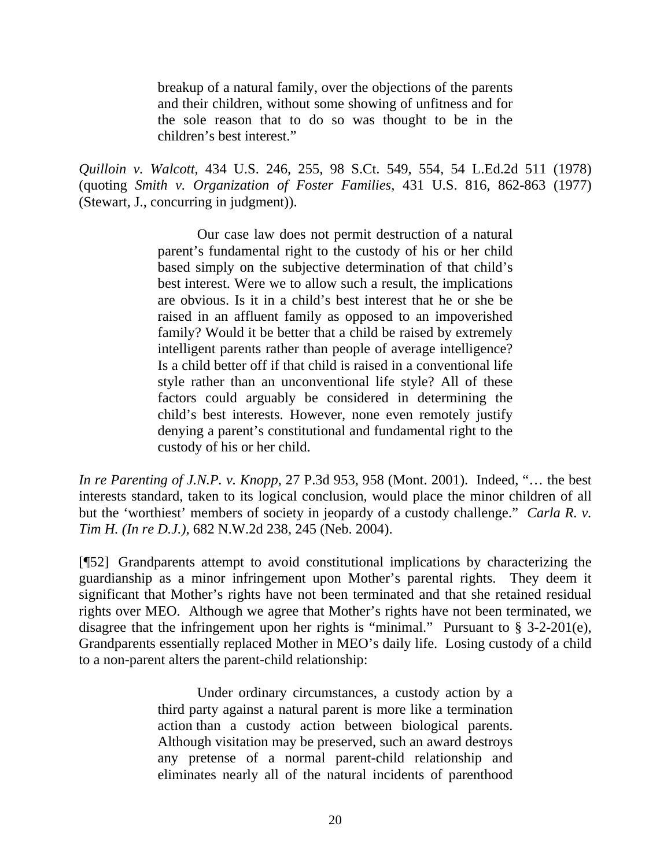breakup of a natural family, over the objections of the parents and their children, without some showing of unfitness and for the sole reason that to do so was thought to be in the children's best interest."

*Quilloin v. Walcott*, 434 U.S. 246, 255, 98 S.Ct. 549, 554, 54 L.Ed.2d 511 (1978) (quoting *Smith v. Organization of Foster Families*, 431 U.S. 816, 862-863 (1977) (Stewart, J., concurring in judgment)).

> Our case law does not permit destruction of a natural parent's fundamental right to the custody of his or her child based simply on the subjective determination of that child's best interest. Were we to allow such a result, the implications are obvious. Is it in a child's best interest that he or she be raised in an affluent family as opposed to an impoverished family? Would it be better that a child be raised by extremely intelligent parents rather than people of average intelligence? Is a child better off if that child is raised in a conventional life style rather than an unconventional life style? All of these factors could arguably be considered in determining the child's best interests. However, none even remotely justify denying a parent's constitutional and fundamental right to the custody of his or her child.

*In re Parenting of J.N.P. v. Knopp*, 27 P.3d 953, 958 (Mont. 2001). Indeed, "… the best interests standard, taken to its logical conclusion, would place the minor children of all but the 'worthiest' members of society in jeopardy of a custody challenge." *Carla R. v. Tim H. (In re D.J.)*, 682 N.W.2d 238, 245 (Neb. 2004).

[¶52] Grandparents attempt to avoid constitutional implications by characterizing the guardianship as a minor infringement upon Mother's parental rights. They deem it significant that Mother's rights have not been terminated and that she retained residual rights over MEO. Although we agree that Mother's rights have not been terminated, we disagree that the infringement upon her rights is "minimal." Pursuant to § 3-2-201(e), Grandparents essentially replaced Mother in MEO's daily life. Losing custody of a child to a non-parent alters the parent-child relationship:

> Under ordinary circumstances, a custody action by a third party against a natural parent is more like a termination action than a custody action between biological parents. Although visitation may be preserved, such an award destroys any pretense of a normal parent-child relationship and eliminates nearly all of the natural incidents of parenthood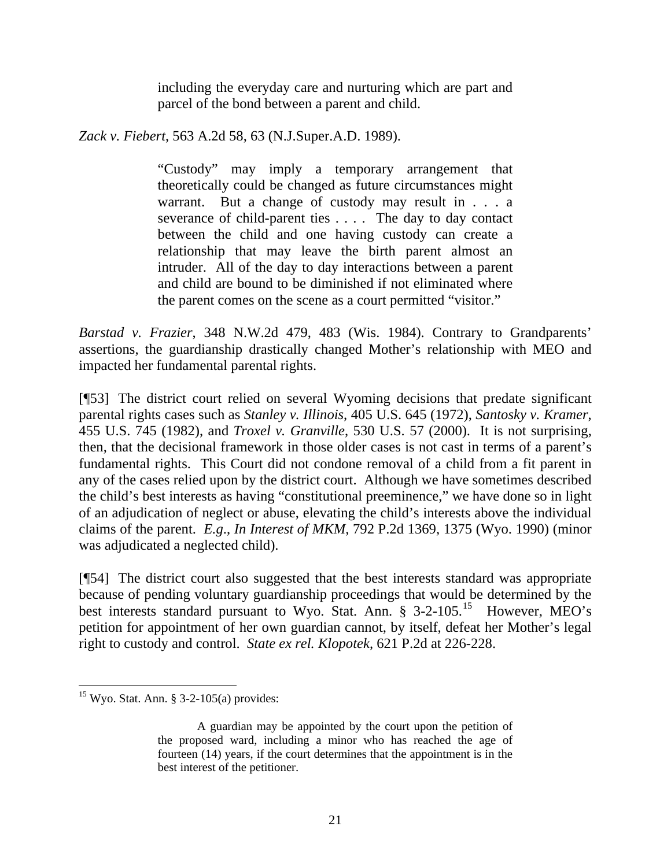including the everyday care and nurturing which are part and parcel of the bond between a parent and child.

*Zack v. Fiebert*, 563 A.2d 58, 63 (N.J.Super.A.D. 1989).

"Custody" may imply a temporary arrangement that theoretically could be changed as future circumstances might warrant. But a change of custody may result in . . . a severance of child-parent ties . . . . The day to day contact between the child and one having custody can create a relationship that may leave the birth parent almost an intruder. All of the day to day interactions between a parent and child are bound to be diminished if not eliminated where the parent comes on the scene as a court permitted "visitor."

*Barstad v. Frazier*, 348 N.W.2d 479, 483 (Wis. 1984). Contrary to Grandparents' assertions, the guardianship drastically changed Mother's relationship with MEO and impacted her fundamental parental rights.

[¶53] The district court relied on several Wyoming decisions that predate significant parental rights cases such as *Stanley v. Illinois*, 405 U.S. 645 (1972), *Santosky v. Kramer*, 455 U.S. 745 (1982), and *Troxel v. Granville*, 530 U.S. 57 (2000). It is not surprising, then, that the decisional framework in those older cases is not cast in terms of a parent's fundamental rights. This Court did not condone removal of a child from a fit parent in any of the cases relied upon by the district court. Although we have sometimes described the child's best interests as having "constitutional preeminence," we have done so in light of an adjudication of neglect or abuse, elevating the child's interests above the individual claims of the parent. *E.g*., *In Interest of MKM*, 792 P.2d 1369, 1375 (Wyo. 1990) (minor was adjudicated a neglected child).

[¶54] The district court also suggested that the best interests standard was appropriate because of pending voluntary guardianship proceedings that would be determined by the best interests standard pursuant to Wyo. Stat. Ann.  $\frac{8}{9}$  3-2-105.<sup>[15](#page-22-0)</sup> However, MEO's petition for appointment of her own guardian cannot, by itself, defeat her Mother's legal right to custody and control. *State ex rel. Klopotek*, 621 P.2d at 226-228.

<span id="page-22-0"></span> $\overline{a}$  $15$  Wyo. Stat. Ann. § 3-2-105(a) provides:

A guardian may be appointed by the court upon the petition of the proposed ward, including a minor who has reached the age of fourteen (14) years, if the court determines that the appointment is in the best interest of the petitioner.